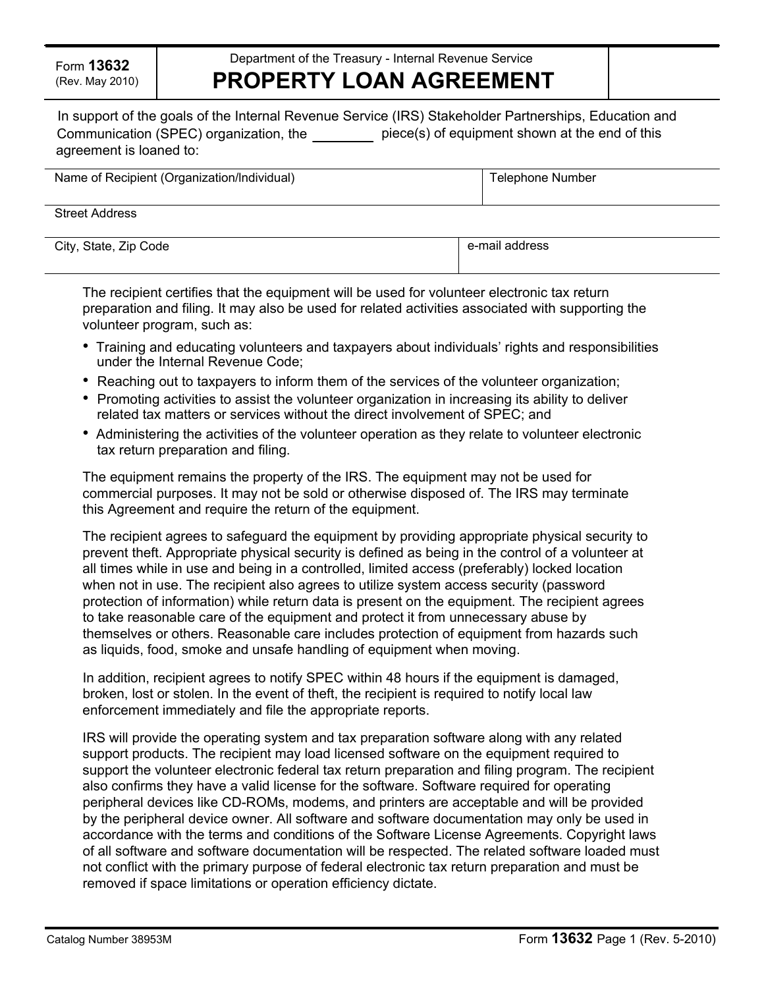## Department of the Treasury - Internal Revenue Service **PROPERTY LOAN AGREEMENT**

|                                        | In support of the goals of the Internal Revenue Service (IRS) Stakeholder Partnerships, Education and |
|----------------------------------------|-------------------------------------------------------------------------------------------------------|
| Communication (SPEC) organization, the | piece(s) of equipment shown at the end of this                                                        |
| agreement is loaned to:                |                                                                                                       |

| Name of Recipient (Organization/Individual) | Telephone Number |  |  |
|---------------------------------------------|------------------|--|--|
| <b>Street Address</b>                       |                  |  |  |

City, State, Zip Code e-mail address e-mail address e-mail address

The recipient certifies that the equipment will be used for volunteer electronic tax return preparation and filing. It may also be used for related activities associated with supporting the volunteer program, such as:

- Training and educating volunteers and taxpayers about individuals' rights and responsibilities under the Internal Revenue Code;
- Reaching out to taxpayers to inform them of the services of the volunteer organization;
- Promoting activities to assist the volunteer organization in increasing its ability to deliver related tax matters or services without the direct involvement of SPEC; and
- Administering the activities of the volunteer operation as they relate to volunteer electronic tax return preparation and filing.

The equipment remains the property of the IRS. The equipment may not be used for commercial purposes. It may not be sold or otherwise disposed of. The IRS may terminate this Agreement and require the return of the equipment.

The recipient agrees to safeguard the equipment by providing appropriate physical security to prevent theft. Appropriate physical security is defined as being in the control of a volunteer at all times while in use and being in a controlled, limited access (preferably) locked location when not in use. The recipient also agrees to utilize system access security (password protection of information) while return data is present on the equipment. The recipient agrees to take reasonable care of the equipment and protect it from unnecessary abuse by themselves or others. Reasonable care includes protection of equipment from hazards such as liquids, food, smoke and unsafe handling of equipment when moving.

In addition, recipient agrees to notify SPEC within 48 hours if the equipment is damaged, broken, lost or stolen. In the event of theft, the recipient is required to notify local law enforcement immediately and file the appropriate reports.

IRS will provide the operating system and tax preparation software along with any related support products. The recipient may load licensed software on the equipment required to support the volunteer electronic federal tax return preparation and filing program. The recipient also confirms they have a valid license for the software. Software required for operating peripheral devices like CD-ROMs, modems, and printers are acceptable and will be provided by the peripheral device owner. All software and software documentation may only be used in accordance with the terms and conditions of the Software License Agreements. Copyright laws of all software and software documentation will be respected. The related software loaded must not conflict with the primary purpose of federal electronic tax return preparation and must be removed if space limitations or operation efficiency dictate.